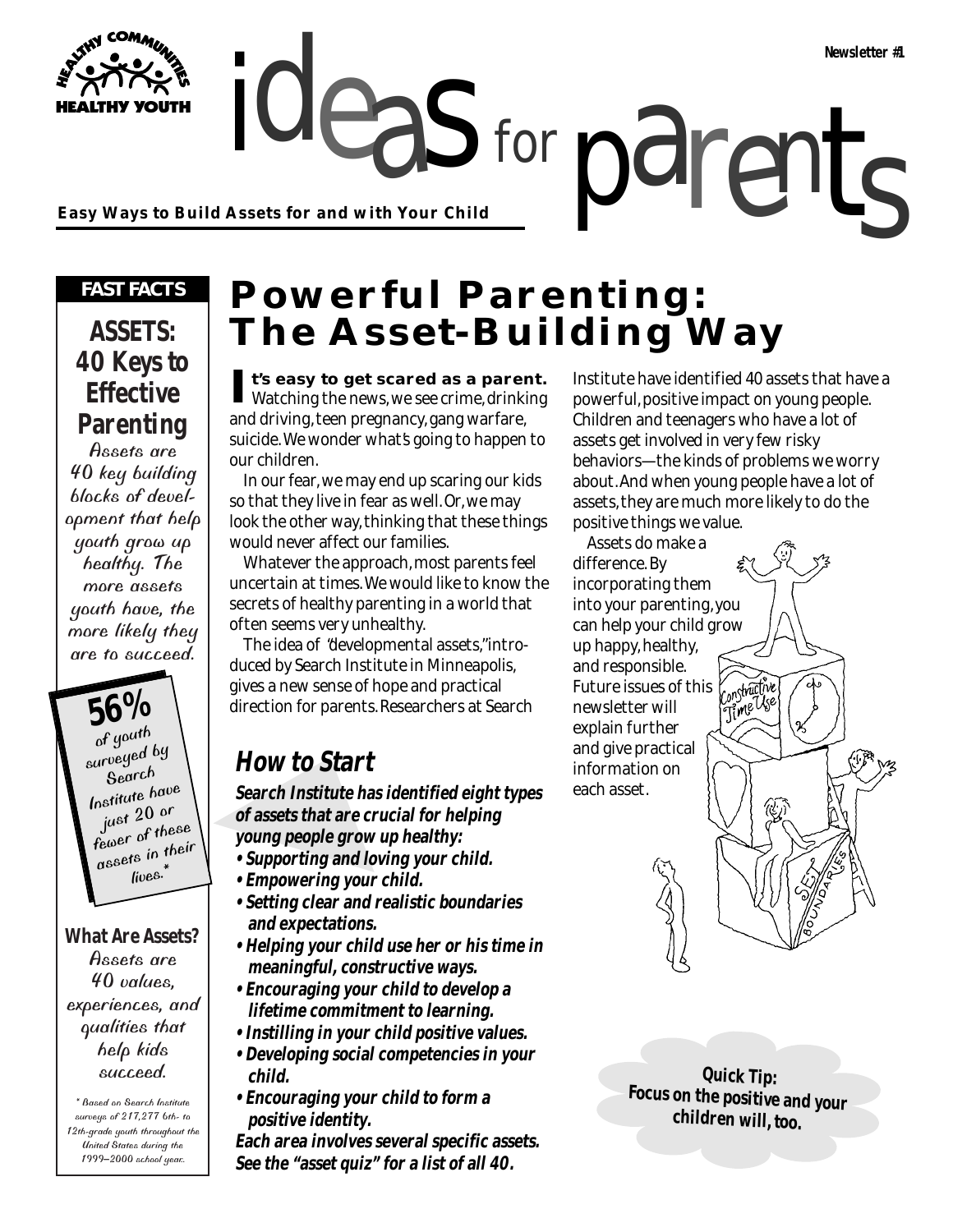ideas for parents **Easy Ways to Build Assets for and with Your Child**

#### *FAST FACTS*

## **ASSETS: 40 Keys to Effective Parenting**

Assets are 40 key building blocks of development that help youth grow up healthy. The more assets youth have, the more likely they are to succeed.

**56%** surveyed by Search Institute have just 20 or fewer of these assets in their lives.

#### **What Are Assets?**

Assets are 40 values, experiences, and qualities that help kids succeed.

\* Based on Search Institute surveys of 217,277 6th- to 12th-grade youth throughout the United States during the 1999–2000 school year..

## **Powerful Parenting: The Asset-Building Way**

for

**It's easy to get scared as a parent.** Watching the news, we see crime, drinking and driving, teen pregnancy, gang warfare, suicide. We wonder what's going to happen to our children.

In our fear, we may end up scaring our kids so that they live in fear as well. Or, we may look the other way, thinking that these things would never affect our families.

Whatever the approach, most parents feel uncertain at times. We would like to know the secrets of healthy parenting in a world that often seems very unhealthy.

The idea of "developmental assets," introduced by Search Institute in Minneapolis, gives a new sense of hope and practical direction for parents. Researchers at Search

### **How to Start**

**Search Institute has identified eight types of assets that are crucial for helping young people grow up healthy:**

- **Supporting and loving your child.**
- **Empowering your child.**
- **Setting clear and realistic boundaries and expectations.**
- **Helping your child use her or his time in meaningful, constructive ways.**
- **Encouraging your child to develop a lifetime commitment to learning.**
- **Instilling in your child positive values.**
- **Developing social competencies in your child.**
- **Encouraging your child to form a positive identity.**

**Each area involves several specific assets. See the "asset quiz" for a list of all 40.**

Institute have identified 40 assets that have a powerful, positive impact on young people. Children and teenagers who have a lot of assets get involved in very few risky behaviors—the kinds of problems we worry about. And when young people have a lot of assets, they are much more likely to do the positive things we value.



**Quick Tip: Focus on the positive and your children will, too.**